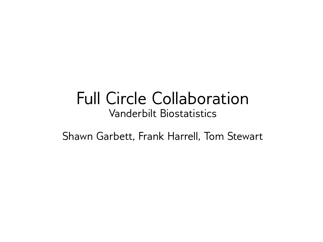## Full Circle Collaboration Vanderbilt Biostatistics

Shawn Garbett, Frank Harrell, Tom Stewart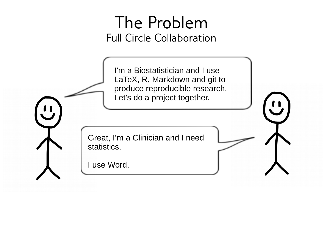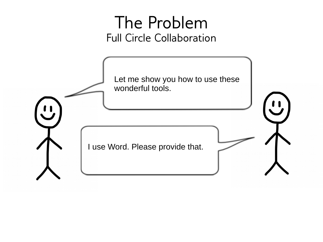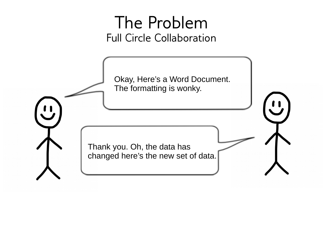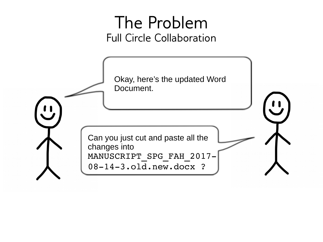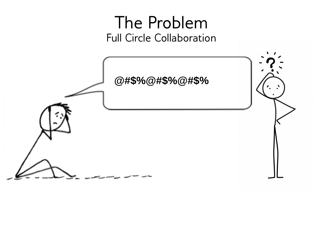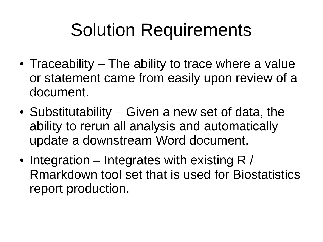## Solution Requirements

- Traceability The ability to trace where a value or statement came from easily upon review of a document.
- $\bullet$  Substitutability Given a new set of data, the ability to rerun all analysis and automatically update a downstream Word document.
- Integration Integrates with existing R  $\prime$ Rmarkdown tool set that is used for Biostatistics report production.